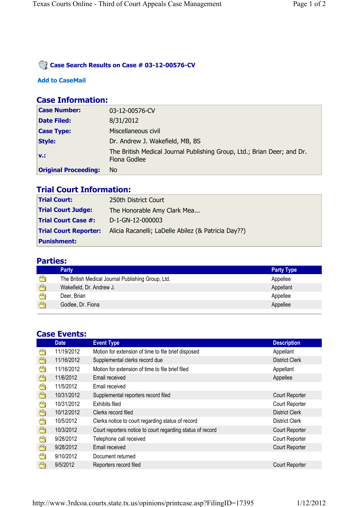### **Case Search Results on Case # 03-12-00576-CV**

#### **Add to CaseMail**

## **Case Information:**

| <b>Case Number:</b>         | 03-12-00576-CV                                                                          |
|-----------------------------|-----------------------------------------------------------------------------------------|
| <b>Date Filed:</b>          | 8/31/2012                                                                               |
| <b>Case Type:</b>           | Miscellaneous civil                                                                     |
| <b>Style:</b>               | Dr. Andrew J. Wakefield, MB, BS                                                         |
| $V1$ :                      | The British Medical Journal Publishing Group, Ltd.; Brian Deer; and Dr.<br>Fiona Godlee |
| <b>Original Proceeding:</b> | No.                                                                                     |

# **Trial Court Information:**

| <b>Trial Court:</b>        | 250th District Court                                                             |
|----------------------------|----------------------------------------------------------------------------------|
| <b>Trial Court Judge:</b>  | The Honorable Amy Clark Mea                                                      |
| <b>Trial Court Case #:</b> | D-1-GN-12-000003                                                                 |
|                            | <b>Trial Court Reporter:</b> Alicia Racanelli; LaDelle Abilez (& Patricia Day??) |
| <b>Punishment:</b>         |                                                                                  |

### **Parties:**

|            | <b>Party</b>                                       | <b>Party Type</b> |
|------------|----------------------------------------------------|-------------------|
|            | The British Medical Journal Publishing Group, Ltd. | Appellee          |
| 24         | Wakefield, Dr. Andrew J.                           | Appellant         |
|            | Deer, Brian                                        | Appellee          |
| <b>RAY</b> | Godlee, Dr. Fiona                                  | Appellee          |

### **Case Events:**

|     | <b>Date</b> | <b>Event Type</b>                                          | <b>Description</b>    |
|-----|-------------|------------------------------------------------------------|-----------------------|
|     | 11/19/2012  | Motion for extension of time to file brief disposed        | Appellant             |
| ⇔   | 11/16/2012  | Supplemental clerks record due                             | <b>District Clerk</b> |
| رحم | 11/16/2012  | Motion for extension of time to file brief filed           | Appellant             |
| ⇔   | 11/6/2012   | Email received                                             | Appellee              |
| ≝   | 11/5/2012   | Email received                                             |                       |
| ⇔   | 10/31/2012  | Supplemental reporters record filed                        | Court Reporter        |
| ఆ   | 10/31/2012  | Exhibits filed                                             | Court Reporter        |
| ⇔   | 10/12/2012  | Clerks record filed                                        | <b>District Clerk</b> |
| رحم | 10/5/2012   | Clerks notice to court regarding status of record          | <b>District Clerk</b> |
| ⇔   | 10/3/2012   | Court reporters notice to court regarding status of record | Court Reporter        |
| ⇔   | 9/28/2012   | Telephone call received                                    | Court Reporter        |
| ⇔   | 9/28/2012   | Email received                                             | Court Reporter        |
| رحم | 9/10/2012   | Document returned                                          |                       |
|     | 9/5/2012    | Reporters record filed                                     | Court Reporter        |